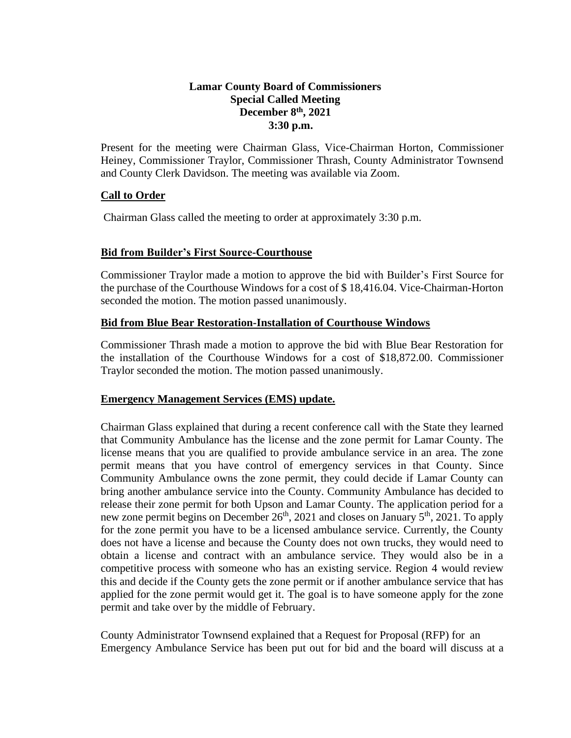# **Lamar County Board of Commissioners Special Called Meeting December 8th, 2021 3:30 p.m.**

Present for the meeting were Chairman Glass, Vice-Chairman Horton, Commissioner Heiney, Commissioner Traylor, Commissioner Thrash, County Administrator Townsend and County Clerk Davidson. The meeting was available via Zoom.

### **Call to Order**

Chairman Glass called the meeting to order at approximately 3:30 p.m.

### **Bid from Builder's First Source-Courthouse**

Commissioner Traylor made a motion to approve the bid with Builder's First Source for the purchase of the Courthouse Windows for a cost of \$ 18,416.04. Vice-Chairman-Horton seconded the motion. The motion passed unanimously.

### **Bid from Blue Bear Restoration-Installation of Courthouse Windows**

 Commissioner Thrash made a motion to approve the bid with Blue Bear Restoration for the installation of the Courthouse Windows for a cost of \$18,872.00. Commissioner Traylor seconded the motion. The motion passed unanimously.

#### **Emergency Management Services (EMS) update.**

Chairman Glass explained that during a recent conference call with the State they learned that Community Ambulance has the license and the zone permit for Lamar County. The license means that you are qualified to provide ambulance service in an area. The zone permit means that you have control of emergency services in that County. Since Community Ambulance owns the zone permit, they could decide if Lamar County can bring another ambulance service into the County. Community Ambulance has decided to release their zone permit for both Upson and Lamar County. The application period for a new zone permit begins on December  $26<sup>th</sup>$ , 2021 and closes on January  $5<sup>th</sup>$ , 2021. To apply for the zone permit you have to be a licensed ambulance service. Currently, the County does not have a license and because the County does not own trucks, they would need to obtain a license and contract with an ambulance service. They would also be in a competitive process with someone who has an existing service. Region 4 would review this and decide if the County gets the zone permit or if another ambulance service that has applied for the zone permit would get it. The goal is to have someone apply for the zone permit and take over by the middle of February.

County Administrator Townsend explained that a Request for Proposal (RFP) for an Emergency Ambulance Service has been put out for bid and the board will discuss at a